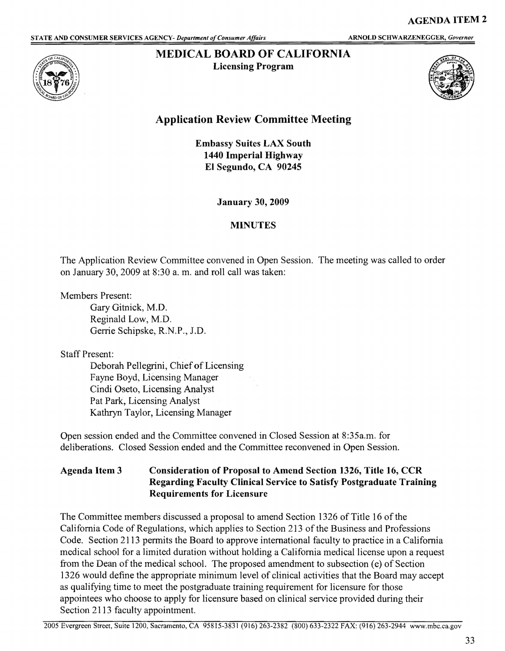## **l\lIEDICAL BOARD OF CALIFORNIA**

**Licensing Program** 





## **Application Review Committee Meeting**

**Embassy Suites LAX South 1440 Imperial Highway El Segundo, CA 90245** 

**January 30, 2009** 

## **MINUTES**

The Application Review Committee convened in Open Session. The meeting was called to order on January 30, 2009 at 8:30 a. m. and roll call was taken:

Members Present:

Gary Gitnick, **M.D.**  Reginald Low, M.D. Gerrie Schipske, R.N.P., J.D.

Staff Present:

Deborah Pellegrini, Chief of Licensing Fayne Boyd, Licensing Manager Cindi Oseto, Licensing Analyst Pat Park, Licensing Analyst Kathryn Taylor, Licensing Manager

Open session ended and the Committee convened in Closed Session at 8:35a.m. for deliberations. Closed Session ended and the Committee reconvened in Open Session.

## **Agenda Item 3 Consideration of Proposal to Amend Section 1326, Title 16, CCR Regarding Faculty Clinical Service to Satisfy Postgraduate Training Requirements for Licensurc**

The Committee members discussed a proposal to amend Section 1326 of Title 16 of the California Code of Regulations, which applies to Section 213 of the Business and Professions Code. Section 2113 permits the Board to approve international faculty to practice in a California medical school for a limited duration without holding a California medical license upon a request from the Dean of the medical school. The proposed amendment to subsection (e) of Section 1326 would define the appropriate minimum level of clinical activities that the Board may accept as qualifying time to meet the postgraduate training requirement for licensure for those appointees who choose to apply for licensure based on clinical service provided during their Section 2113 faculty appointment.